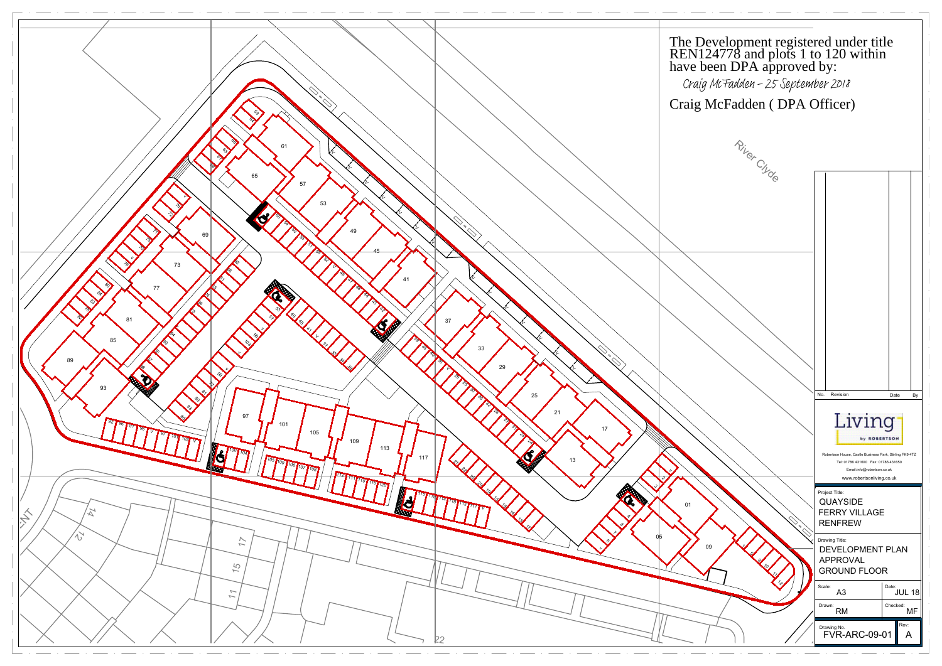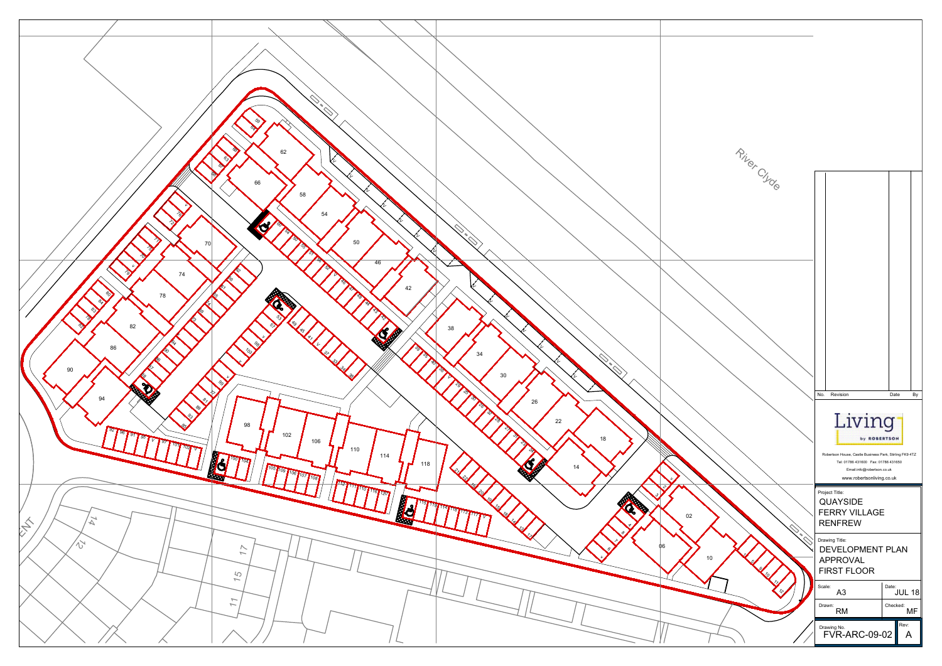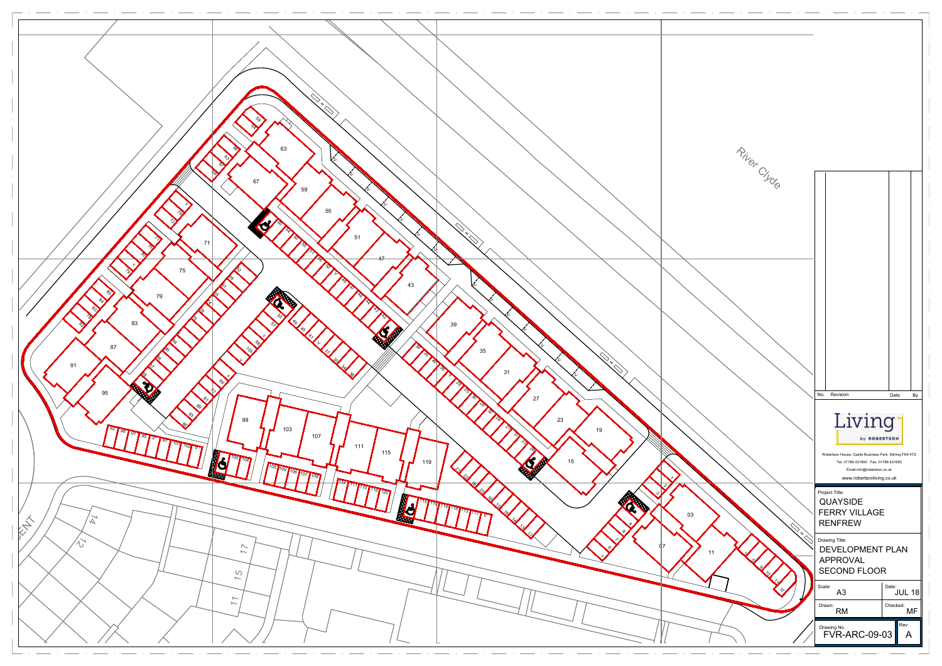